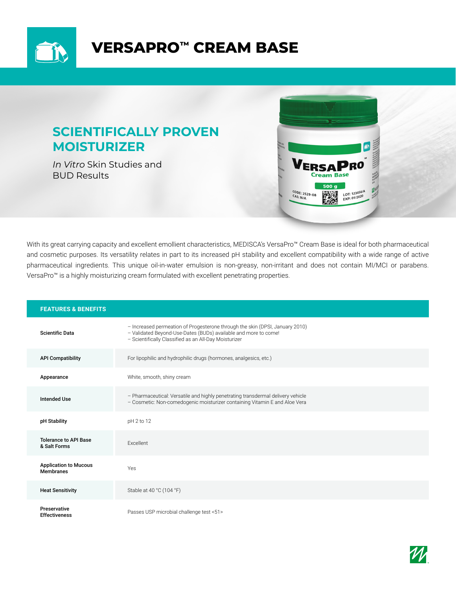

# **VERSAPRO™ CREAM BASE**

## **SCIENTIFICALLY PROVEN MOISTURIZER**

*In Vitro* Skin Studies and BUD Results



With its great carrying capacity and excellent emollient characteristics, MEDISCA's VersaPro™ Cream Base is ideal for both pharmaceutical and cosmetic purposes. Its versatility relates in part to its increased pH stability and excellent compatibility with a wide range of active pharmaceutical ingredients. This unique oil-in-water emulsion is non-greasy, non-irritant and does not contain MI/MCI or parabens. VersaPro™ is a highly moisturizing cream formulated with excellent penetrating properties.

| <b>FEATURES &amp; BENEFITS</b>                   |                                                                                                                                                                                                          |
|--------------------------------------------------|----------------------------------------------------------------------------------------------------------------------------------------------------------------------------------------------------------|
| <b>Scientific Data</b>                           | - Increased permeation of Progesterone through the skin (DPSI, January 2010)<br>- Validated Beyond-Use-Dates (BUDs) available and more to come!<br>- Scientifically Classified as an All-Day Moisturizer |
| <b>API Compatibility</b>                         | For lipophilic and hydrophilic drugs (hormones, analgesics, etc.)                                                                                                                                        |
| Appearance                                       | White, smooth, shiny cream                                                                                                                                                                               |
| <b>Intended Use</b>                              | - Pharmaceutical: Versatile and highly penetrating transdermal delivery vehicle<br>- Cosmetic: Non-comedogenic moisturizer containing Vitamin E and Aloe Vera                                            |
| pH Stability                                     | pH 2 to 12                                                                                                                                                                                               |
| <b>Tolerance to API Base</b><br>& Salt Forms     | Excellent                                                                                                                                                                                                |
| <b>Application to Mucous</b><br><b>Membranes</b> | Yes                                                                                                                                                                                                      |
| <b>Heat Sensitivity</b>                          | Stable at 40 °C (104 °F)                                                                                                                                                                                 |
| Preservative<br><b>Effectiveness</b>             | Passes USP microbial challenge test <51>                                                                                                                                                                 |